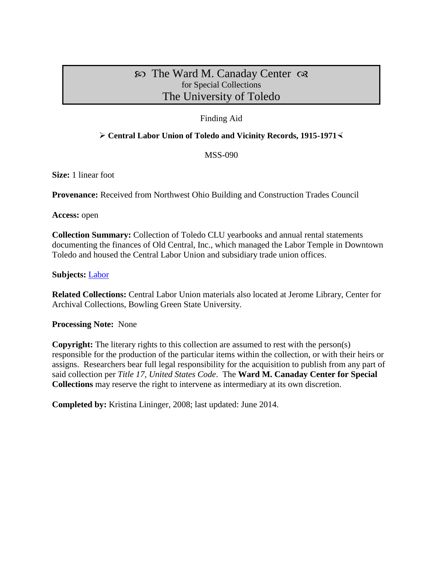# $\infty$  The Ward M. Canaday Center  $\infty$ for Special Collections The University of Toledo

## Finding Aid

### **Central Labor Union of Toledo and Vicinity Records, 1915-1971**

MSS-090

**Size:** 1 linear foot

**Provenance:** Received from Northwest Ohio Building and Construction Trades Council

**Access:** open

**Collection Summary:** Collection of Toledo CLU yearbooks and annual rental statements documenting the finances of Old Central, Inc., which managed the Labor Temple in Downtown Toledo and housed the Central Labor Union and subsidiary trade union offices.

### **Subjects:** [Labor](http://www.utoledo.edu/library/canaday/guidepages/labor.html)

**Related Collections:** Central Labor Union materials also located at Jerome Library, Center for Archival Collections, Bowling Green State University.

**Processing Note:** None

**Copyright:** The literary rights to this collection are assumed to rest with the person(s) responsible for the production of the particular items within the collection, or with their heirs or assigns. Researchers bear full legal responsibility for the acquisition to publish from any part of said collection per *Title 17, United States Code*. The **Ward M. Canaday Center for Special Collections** may reserve the right to intervene as intermediary at its own discretion.

**Completed by:** Kristina Lininger, 2008; last updated: June 2014.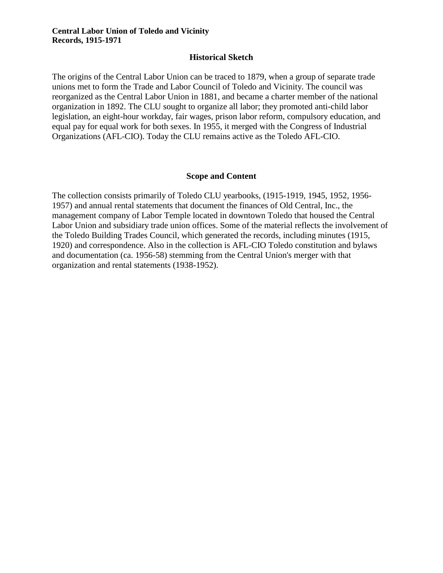#### **Historical Sketch**

The origins of the Central Labor Union can be traced to 1879, when a group of separate trade unions met to form the Trade and Labor Council of Toledo and Vicinity. The council was reorganized as the Central Labor Union in 1881, and became a charter member of the national organization in 1892. The CLU sought to organize all labor; they promoted anti-child labor legislation, an eight-hour workday, fair wages, prison labor reform, compulsory education, and equal pay for equal work for both sexes. In 1955, it merged with the Congress of Industrial Organizations (AFL-CIO). Today the CLU remains active as the Toledo AFL-CIO.

#### **Scope and Content**

The collection consists primarily of Toledo CLU yearbooks, (1915-1919, 1945, 1952, 1956- 1957) and annual rental statements that document the finances of Old Central, Inc., the management company of Labor Temple located in downtown Toledo that housed the Central Labor Union and subsidiary trade union offices. Some of the material reflects the involvement of the Toledo Building Trades Council, which generated the records, including minutes (1915, 1920) and correspondence. Also in the collection is AFL-CIO Toledo constitution and bylaws and documentation (ca. 1956-58) stemming from the Central Union's merger with that organization and rental statements (1938-1952).